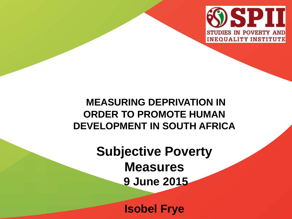

### **MEASURING DEPRIVATION IN ORDER TO PROMOTE HUMAN DEVELOPMENT IN SOUTH AFRICA**

# **Subjective Poverty Measures 9 June 2015**

**Isobel Frye**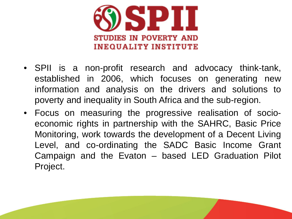

- SPII is a non-profit research and advocacy think-tank, established in 2006, which focuses on generating new information and analysis on the drivers and solutions to poverty and inequality in South Africa and the sub-region.
- Focus on measuring the progressive realisation of socioeconomic rights in partnership with the SAHRC, Basic Price Monitoring, work towards the development of a Decent Living Level, and co-ordinating the SADC Basic Income Grant Campaign and the Evaton – based LED Graduation Pilot Project.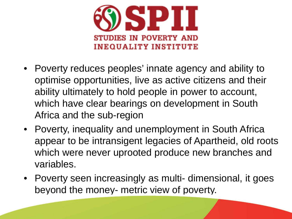

- Poverty reduces peoples' innate agency and ability to optimise opportunities, live as active citizens and their ability ultimately to hold people in power to account, which have clear bearings on development in South Africa and the sub-region
- Poverty, inequality and unemployment in South Africa appear to be intransigent legacies of Apartheid, old roots which were never uprooted produce new branches and variables.
- Poverty seen increasingly as multi-dimensional, it goes beyond the money- metric view of poverty.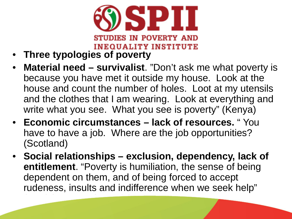

• **Three typologies of poverty**

(Latvia) 2000 Voices of the Poor.

- **Material need – survivalist**. "Don't ask me what poverty is because you have met it outside my house. Look at the house and count the number of holes. Loot at my utensils and the clothes that I am wearing. Look at everything and write what you see. What you see is poverty" (Kenya)
- **Economic circumstances – lack of resources.** " You have to have a job. Where are the job opportunities? (Scotland)
- **Social relationships – exclusion, dependency, lack of entitlement**. "Poverty is humiliation, the sense of being dependent on them, and of being forced to accept rudeness, insults and indifference when we seek help"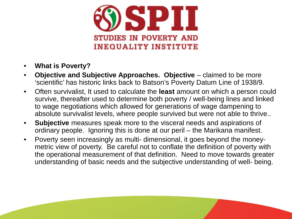

- **What is Poverty?**
- **Objective and Subjective Approaches. Objective**  claimed to be more 'scientific' has historic links back to Batson's Poverty Datum Line of 1938/9.
- Often survivalist, It used to calculate the **least** amount on which a person could survive, thereafter used to determine both poverty / well-being lines and linked to wage negotiations which allowed for generations of wage dampening to absolute survivalist levels, where people survived but were not able to thrive..
- **Subjective** measures speak more to the visceral needs and aspirations of ordinary people. Ignoring this is done at our peril – the Marikana manifest.
- Poverty seen increasingly as multi- dimensional, it goes beyond the moneymetric view of poverty. Be careful not to conflate the definition of poverty with the operational measurement of that definition. Need to move towards greater understanding of basic needs and the subjective understanding of well- being.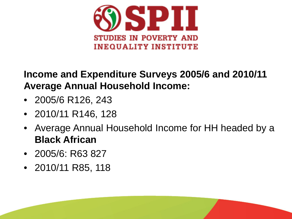

## **Income and Expenditure Surveys 2005/6 and 2010/11 Average Annual Household Income:**

- 2005/6 R126, 243
- 2010/11 R146, 128
- Average Annual Household Income for HH headed by a **Black African**
- 2005/6: R63 827
- 2010/11 R85, 118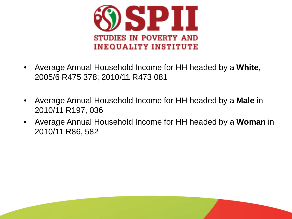

- Average Annual Household Income for HH headed by a **White,**  2005/6 R475 378; 2010/11 R473 081
- Average Annual Household Income for HH headed by a **Male** in 2010/11 R197, 036
- Average Annual Household Income for HH headed by a **Woman** in 2010/11 R86, 582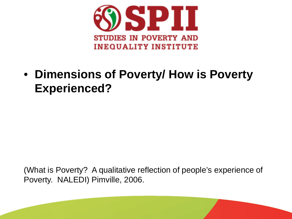

• **Dimensions of Poverty/ How is Poverty Experienced?**

(What is Poverty? A qualitative reflection of people's experience of Poverty. NALEDI) Pimville, 2006.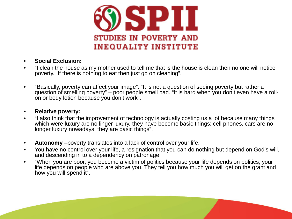

- **Social Exclusion:**
- "I clean the house as my mother used to tell me that is the house is clean then no one will notice poverty. If there is nothing to eat then just go on cleaning".
- "Basically, poverty can affect your image". "It is not a question of seeing poverty but rather a question of smelling poverty" – poor people smell bad. "It is hard when you don't even have a roll-<br>on or body lotion because you don't work".
- **Relative poverty:**
- "I also think that the improvement of technology is actually costing us a lot because many things which were luxury are no linger luxury, they have become basic things; cell phones, cars are no longer luxury nowadays, they are basic things".
- **Autonomy** –poverty translates into a lack of control over your life.
- You have no control over your life, a resignation that you can do nothing but depend on God's will, and descending in to a dependency on patronage
- "When you are poor, you become a victim of politics because your life depends on politics; your life depends on people who are above you. They tell you how much you will get on the grant and how you will spend it".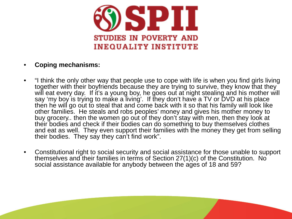

#### • **Coping mechanisms:**

- "I think the only other way that people use to cope with life is when you find girls living together with their boyfriends because they are trying to survive, they know that they will eat every day. If it's a young boy, he goes out at night stealing and his mother will say 'my boy is trying to make a living'. If they don't have a TV or DVD at his place then he will go out to steal that and come back with it so that his family will look like other families. He steals and robs peoples' money and gives his mother money to buy grocery.. then the women go out of they don't stay with men, then they look at their bodies and check if their bodies can do something to buy themselves clothes and eat as well. They even support their families with the money they get from selling their bodies. They say they can't find work".
- Constitutional right to social security and social assistance for those unable to support themselves and their families in terms of Section 27(1)(c) of the Constitution. No social assistance available for anybody between the ages of 18 and 59?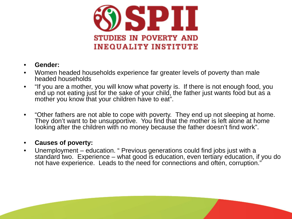

#### • **Gender:**

- Women headed households experience far greater levels of poverty than male headed households
- "If you are a mother, you will know what poverty is. If there is not enough food, you end up not eating just for the sake of your child, the father just wants food but as a mother you know that your children have to eat".
- "Other fathers are not able to cope with poverty. They end up not sleeping at home. They don't want to be unsupportive. You find that the mother is left alone at home looking after the children with no money because the father doesn't find work".

#### • **Causes of poverty:**

• Unemployment – education. " Previous generations could find jobs just with a standard two. Experience – what good is education, even tertiary education, if you do not have experience. Leads to the need for connections and often, corruption."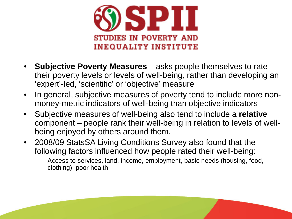

- **Subjective Poverty Measures**  asks people themselves to rate their poverty levels or levels of well-being, rather than developing an 'expert'-led, 'scientific' or 'objective' measure
- In general, subjective measures of poverty tend to include more nonmoney-metric indicators of well-being than objective indicators
- Subjective measures of well-being also tend to include a **relative** component – people rank their well-being in relation to levels of wellbeing enjoyed by others around them.
- 2008/09 StatsSA Living Conditions Survey also found that the following factors influenced how people rated their well-being:
	- Access to services, land, income, employment, basic needs (housing, food, clothing), poor health.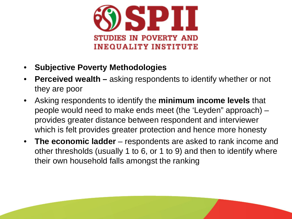

- **Subjective Poverty Methodologies**
- **Perceived wealth –** asking respondents to identify whether or not they are poor
- Asking respondents to identify the **minimum income levels** that people would need to make ends meet (the 'Leyden" approach) – provides greater distance between respondent and interviewer which is felt provides greater protection and hence more honesty
- **The economic ladder** respondents are asked to rank income and other thresholds (usually 1 to 6, or 1 to 9) and then to identify where their own household falls amongst the ranking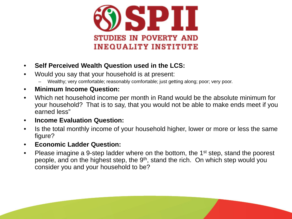

- **Self Perceived Wealth Question used in the LCS:**
- Would you say that your household is at present:
	- Wealthy; very comfortable; reasonably comfortable; just getting along; poor; very poor.
- **Minimum Income Question:**
- Which net household income per month in Rand would be the absolute minimum for your household? That is to say, that you would not be able to make ends meet if you earned less"
- **Income Evaluation Question:**
- Is the total monthly income of your household higher, lower or more or less the same figure?
- **Economic Ladder Question:**
- Please imagine a 9-step ladder where on the bottom, the  $1<sup>st</sup>$  step, stand the poorest people, and on the highest step, the  $9<sup>th</sup>$ , stand the rich. On which step would you consider you and your household to be?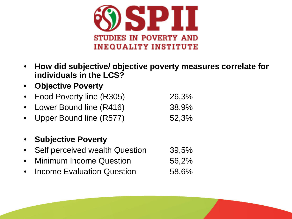

- **How did subjective/ objective poverty measures correlate for individuals in the LCS?**
- **Objective Poverty**
- Food Poverty line (R305) 26,3%
- Lower Bound line (R416) 38,9%
- Upper Bound line (R577) 52,3%
- **Subjective Poverty**
- Self perceived wealth Question 39,5%
- Minimum Income Question 56,2%
- Income Evaluation Question 58,6%